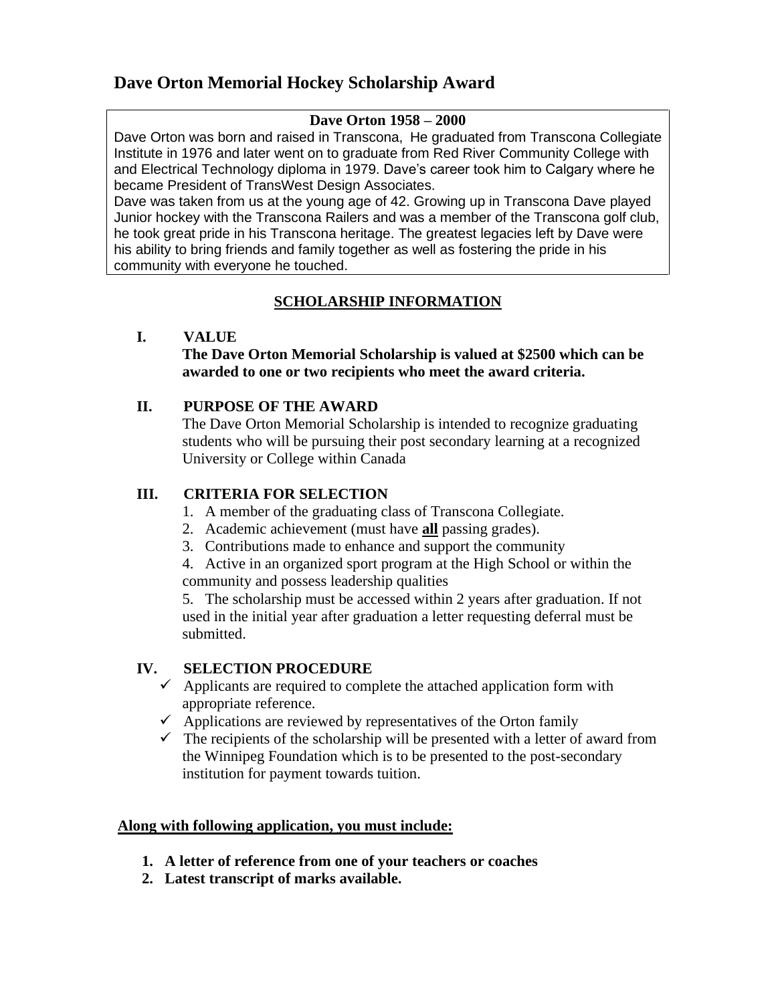## **Dave Orton Memorial Hockey Scholarship Award**

#### **Dave Orton 1958 – 2000**

Dave Orton was born and raised in Transcona,He graduated from Transcona Collegiate Institute in 1976 and later went on to graduate from Red River Community College with and Electrical Technology diploma in 1979. Dave's career took him to Calgary where he became President of TransWest Design Associates.

Dave was taken from us at the young age of 42. Growing up in Transcona Dave played Junior hockey with the Transcona Railers and was a member of the Transcona golf club, he took great pride in his Transcona heritage. The greatest legacies left by Dave were his ability to bring friends and family together as well as fostering the pride in his community with everyone he touched.

### **SCHOLARSHIP INFORMATION**

#### **I. VALUE**

#### **The Dave Orton Memorial Scholarship is valued at \$2500 which can be awarded to one or two recipients who meet the award criteria.**

#### **II. PURPOSE OF THE AWARD**

The Dave Orton Memorial Scholarship is intended to recognize graduating students who will be pursuing their post secondary learning at a recognized University or College within Canada

#### **III. CRITERIA FOR SELECTION**

- 1. A member of the graduating class of Transcona Collegiate.
- 2. Academic achievement (must have **all** passing grades).
- 3. Contributions made to enhance and support the community

4. Active in an organized sport program at the High School or within the community and possess leadership qualities

5. The scholarship must be accessed within 2 years after graduation. If not used in the initial year after graduation a letter requesting deferral must be submitted.

#### **IV. SELECTION PROCEDURE**

- $\checkmark$  Applicants are required to complete the attached application form with appropriate reference.
- $\checkmark$  Applications are reviewed by representatives of the Orton family
- $\checkmark$  The recipients of the scholarship will be presented with a letter of award from the Winnipeg Foundation which is to be presented to the post-secondary institution for payment towards tuition.

#### **Along with following application, you must include:**

- **1. A letter of reference from one of your teachers or coaches**
- **2. Latest transcript of marks available.**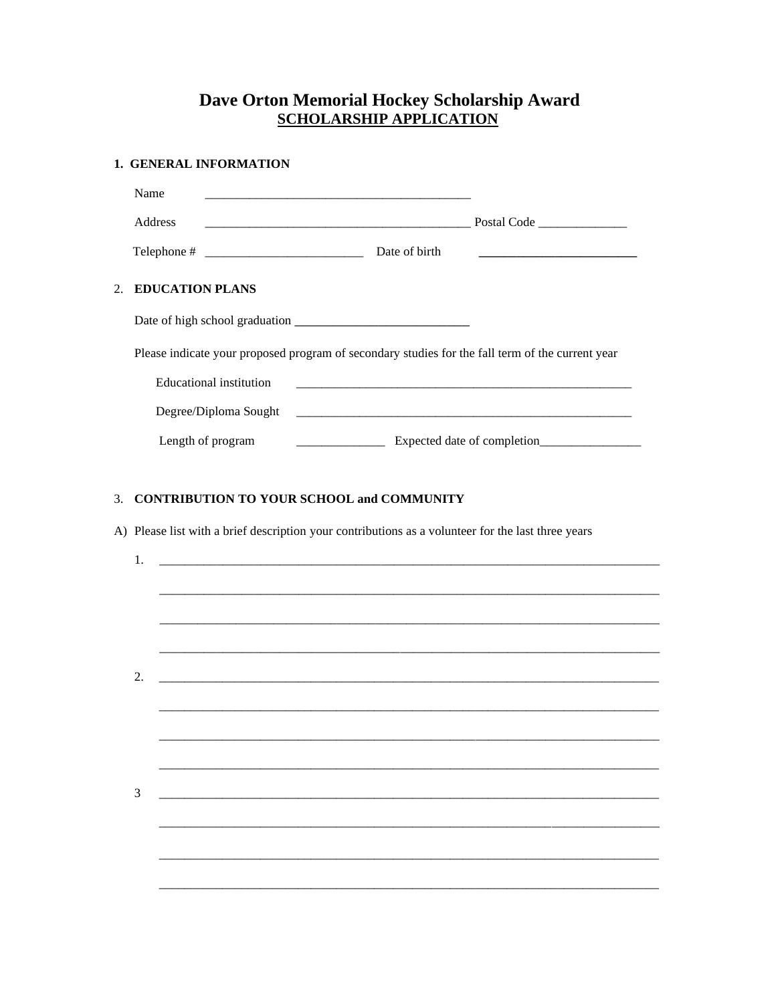# **Dave Orton Memorial Hockey Scholarship Award<br>SCHOLARSHIP APPLICATION**

| <b>1. GENERAL INFORMATION</b> |                    |                                                                                                  |                           |               |                                                                                 |  |  |  |
|-------------------------------|--------------------|--------------------------------------------------------------------------------------------------|---------------------------|---------------|---------------------------------------------------------------------------------|--|--|--|
|                               | Name               |                                                                                                  |                           |               |                                                                                 |  |  |  |
|                               | <b>Address</b>     |                                                                                                  | Postal Code <b>Server</b> |               |                                                                                 |  |  |  |
|                               |                    |                                                                                                  |                           | Date of birth | the contract of the contract of the contract of the contract of the contract of |  |  |  |
|                               | 2. EDUCATION PLANS |                                                                                                  |                           |               |                                                                                 |  |  |  |
|                               |                    |                                                                                                  |                           |               |                                                                                 |  |  |  |
|                               |                    | Please indicate your proposed program of secondary studies for the fall term of the current year |                           |               |                                                                                 |  |  |  |
|                               |                    | Educational institution                                                                          |                           |               |                                                                                 |  |  |  |
|                               |                    | Degree/Diploma Sought                                                                            |                           |               |                                                                                 |  |  |  |
|                               |                    | Length of program                                                                                |                           |               |                                                                                 |  |  |  |
|                               |                    |                                                                                                  |                           |               |                                                                                 |  |  |  |

#### 3. CONTRIBUTION TO YOUR SCHOOL and COMMUNITY

A) Please list with a brief description your contributions as a volunteer for the last three years

| 1. |                                                                                                                      |  |  |
|----|----------------------------------------------------------------------------------------------------------------------|--|--|
|    |                                                                                                                      |  |  |
|    |                                                                                                                      |  |  |
|    |                                                                                                                      |  |  |
|    |                                                                                                                      |  |  |
| 2. | <u> 2008 - Andrea State Barbara, amerikan personal di sebagai personal di sebagai personal di sebagai personal d</u> |  |  |
|    |                                                                                                                      |  |  |
|    |                                                                                                                      |  |  |
|    |                                                                                                                      |  |  |
|    |                                                                                                                      |  |  |
| 3  |                                                                                                                      |  |  |
|    |                                                                                                                      |  |  |
|    |                                                                                                                      |  |  |
|    |                                                                                                                      |  |  |
|    |                                                                                                                      |  |  |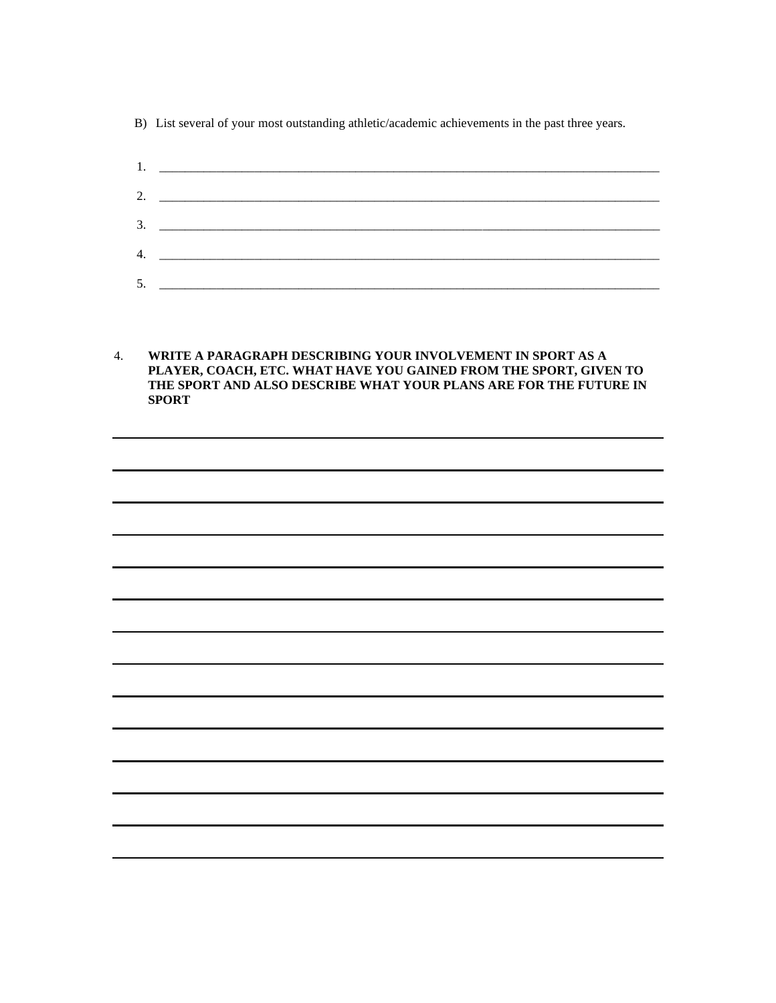B) List several of your most outstanding athletic/academic achievements in the past three years.

1. \_\_\_\_\_\_\_\_\_\_\_\_\_\_\_\_\_\_\_\_\_\_\_\_\_\_\_\_\_\_\_\_\_\_\_\_\_\_\_\_\_\_\_\_\_\_\_\_\_\_\_\_\_\_\_\_\_\_\_\_\_\_\_\_\_\_\_\_\_\_\_\_\_\_\_\_\_\_\_ 2. \_\_\_\_\_\_\_\_\_\_\_\_\_\_\_\_\_\_\_\_\_\_\_\_\_\_\_\_\_\_\_\_\_\_\_\_\_\_\_\_\_\_\_\_\_\_\_\_\_\_\_\_\_\_\_\_\_\_\_\_\_\_\_\_\_\_\_\_\_\_\_\_\_\_\_\_\_\_\_ 3. \_\_\_\_\_\_\_\_\_\_\_\_\_\_\_\_\_\_\_\_\_\_\_\_\_\_\_\_\_\_\_\_\_\_\_\_\_\_\_\_\_\_\_\_\_\_\_\_\_\_\_\_\_\_\_\_\_\_\_\_\_\_\_\_\_\_\_\_\_\_\_\_\_\_\_\_\_\_\_ 4. \_\_\_\_\_\_\_\_\_\_\_\_\_\_\_\_\_\_\_\_\_\_\_\_\_\_\_\_\_\_\_\_\_\_\_\_\_\_\_\_\_\_\_\_\_\_\_\_\_\_\_\_\_\_\_\_\_\_\_\_\_\_\_\_\_\_\_\_\_\_\_\_\_\_\_\_\_\_\_ 5. \_\_\_\_\_\_\_\_\_\_\_\_\_\_\_\_\_\_\_\_\_\_\_\_\_\_\_\_\_\_\_\_\_\_\_\_\_\_\_\_\_\_\_\_\_\_\_\_\_\_\_\_\_\_\_\_\_\_\_\_\_\_\_\_\_\_\_\_\_\_\_\_\_\_\_\_\_\_\_

4. **WRITE A PARAGRAPH DESCRIBING YOUR INVOLVEMENT IN SPORT AS A PLAYER, COACH, ETC. WHAT HAVE YOU GAINED FROM THE SPORT, GIVEN TO THE SPORT AND ALSO DESCRIBE WHAT YOUR PLANS ARE FOR THE FUTURE IN SPORT**